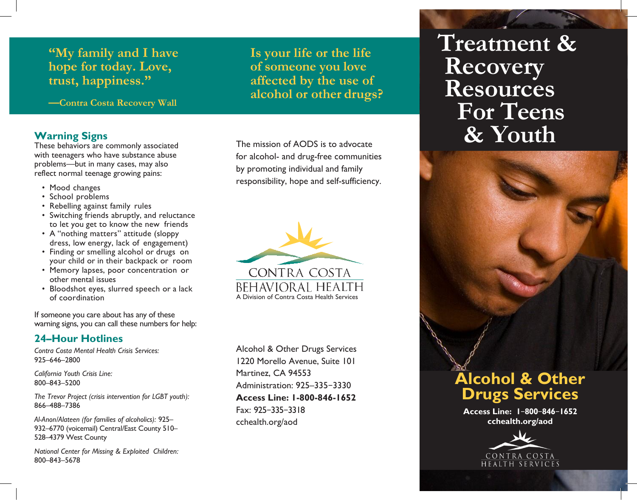# **"My family and I have hope for today. Love, trust, happiness."**

**—Contra Costa Recovery Wall**

### **Warning Signs**

These behaviors are commonly associated with teenagers who have substance abuse problems—but in many cases, may also reflect normal teenage growing pains:

- Mood changes
- School problems
- Rebelling against family rules
- Switching friends abruptly, and reluctance to let you get to know the new friends
- A "nothing matters" attitude (sloppy dress, low energy, lack of engagement)
- Finding or smelling alcohol or drugs on your child or in their backpack or room
- Memory lapses, poor concentration or other mental issues
- Bloodshot eyes, slurred speech or a lack of coordination

If someone you care about has any of these warning signs, you can call these numbers for help:

## **24–Hour Hotlines**

*Contra Costa Mental Health Crisis Services:* 925–646–2800

*California Youth Crisis Line:* 800–843–5200

*The Trevor Project (crisis intervention for LGBT youth):* 866–488–7386

*Al-Anon/Alateen (for families of alcoholics):* 925– 932–6770 (voicemail) Central/East County 510– 528–4379 West County

*National Center for Missing & Exploited Children:* 800–843–5678

**Is your life or the life of someone you love affected by the use of alcohol or other drugs?**

The mission of AODS is to advocate for alcohol- and drug-free communities by promoting individual and family responsibility, hope and self-sufficiency.



Alcohol & Other Drugs Services 1220 Morello Avenue, Suite 101 Martinez, CA 94553 Administration: 925–335−3330 **Access Line: 1-800-846-1652** Fax: 925−335−3318 cchealth.org/aod

# **Treatment & Recovery Resources For Teens & Youth**



**Alcohol & Other Drugs Services**

**Access Line: 1**−**800**−**846**−**1652 cchealth.org/aod**